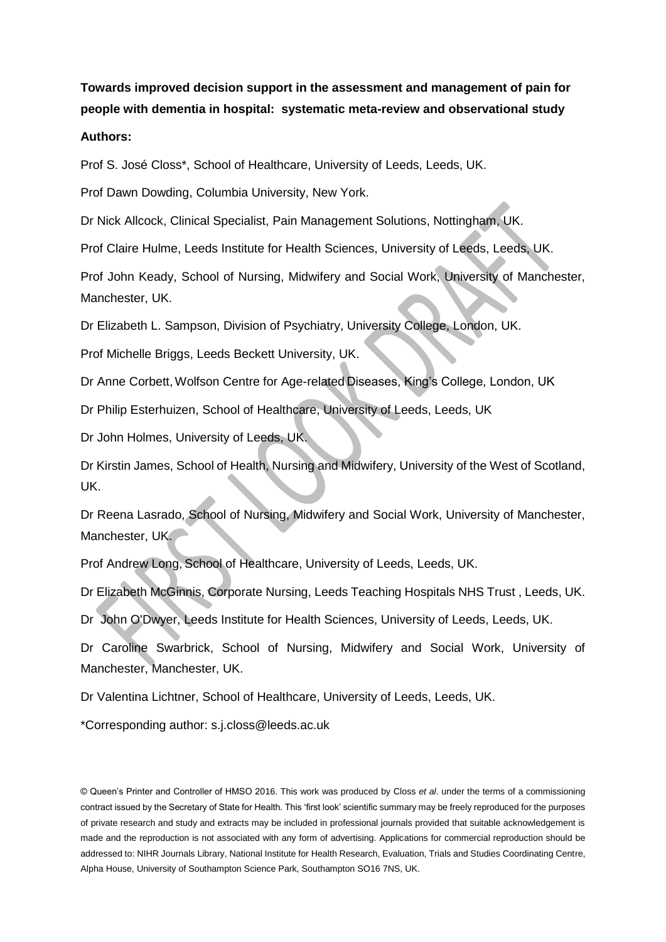# **Towards improved decision support in the assessment and management of pain for people with dementia in hospital: systematic meta-review and observational study Authors:**

Prof S. José Closs\*, School of Healthcare, University of Leeds, Leeds, UK.

Prof Dawn Dowding, Columbia University, New York.

Dr Nick Allcock, Clinical Specialist, Pain Management Solutions, Nottingham, UK.

Prof Claire Hulme, Leeds Institute for Health Sciences, University of Leeds, Leeds, UK.

Prof John Keady, School of Nursing, Midwifery and Social Work, University of Manchester, Manchester, UK.

Dr Elizabeth L. Sampson, Division of Psychiatry, University College, London, UK.

Prof Michelle Briggs, Leeds Beckett University, UK.

Dr Anne Corbett, Wolfson Centre for Age-related Diseases, King's College, London, UK

Dr Philip Esterhuizen, School of Healthcare, University of Leeds, Leeds, UK

Dr John Holmes, University of Leeds, UK.

Dr Kirstin James, School of Health, Nursing and Midwifery, University of the West of Scotland, UK.

Dr Reena Lasrado, School of Nursing, Midwifery and Social Work, University of Manchester, Manchester, UK.

Prof Andrew Long, School of Healthcare, University of Leeds, Leeds, UK.

Dr Elizabeth McGinnis, Corporate Nursing, Leeds Teaching Hospitals NHS Trust , Leeds, UK.

Dr John O'Dwyer, Leeds Institute for Health Sciences, University of Leeds, Leeds, UK.

Dr Caroline Swarbrick, School of Nursing, Midwifery and Social Work, University of Manchester, Manchester, UK.

Dr Valentina Lichtner, School of Healthcare, University of Leeds, Leeds, UK.

\*Corresponding author: s.j.closs@leeds.ac.uk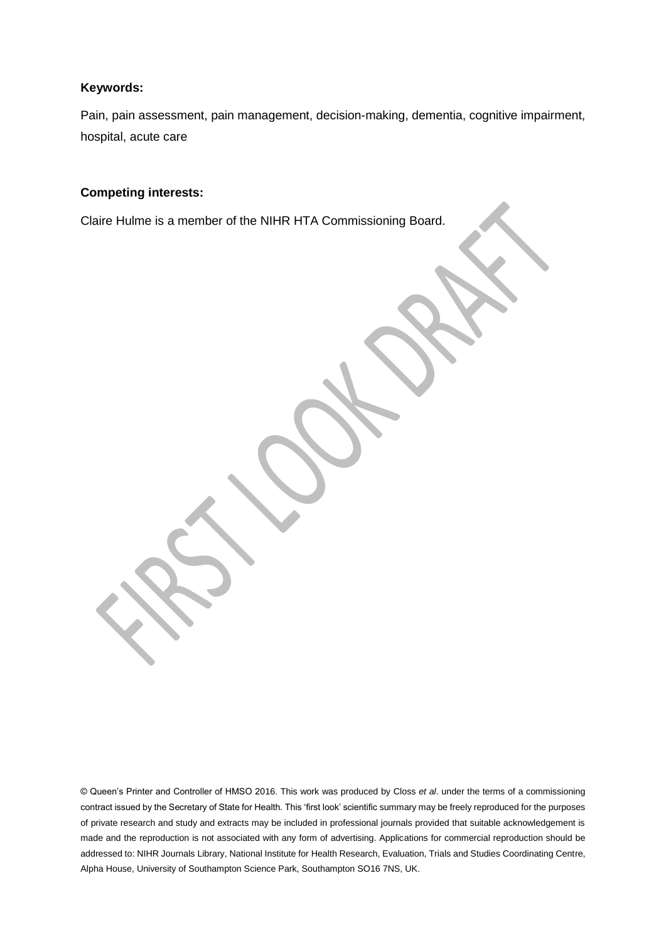## **Keywords:**

Pain, pain assessment, pain management, decision-making, dementia, cognitive impairment, hospital, acute care

### **Competing interests:**

Claire Hulme is a member of the NIHR HTA Commissioning Board.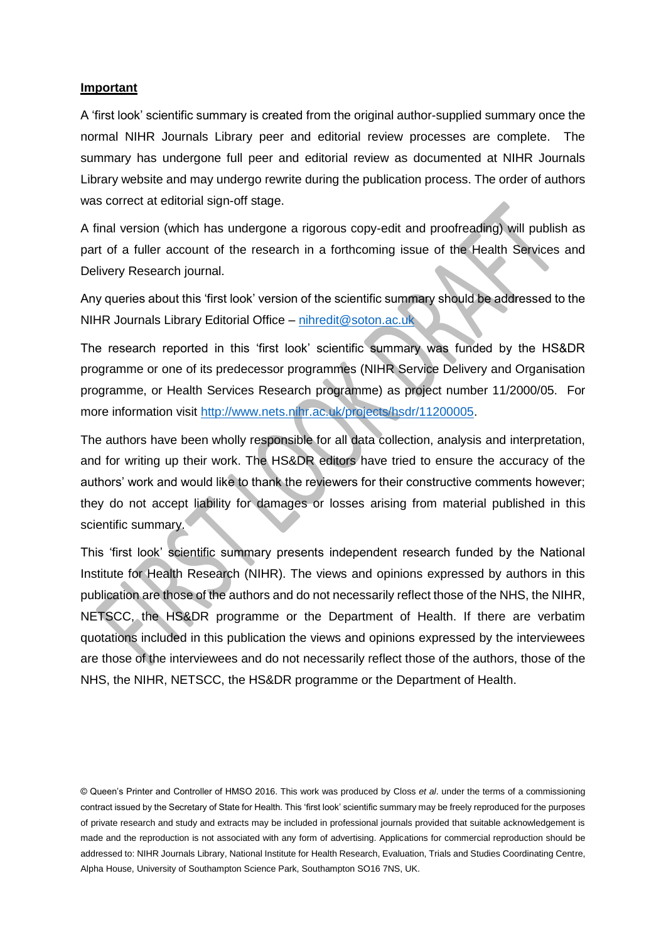#### **Important**

A 'first look' scientific summary is created from the original author-supplied summary once the normal NIHR Journals Library peer and editorial review processes are complete. The summary has undergone full peer and editorial review as documented at NIHR Journals Library website and may undergo rewrite during the publication process. The order of authors was correct at editorial sign-off stage.

A final version (which has undergone a rigorous copy-edit and proofreading) will publish as part of a fuller account of the research in a forthcoming issue of the Health Services and Delivery Research journal.

Any queries about this 'first look' version of the scientific summary should be addressed to the NIHR Journals Library Editorial Office - nihredit@soton.ac.uk

The research reported in this 'first look' scientific summary was funded by the HS&DR programme or one of its predecessor programmes (NIHR Service Delivery and Organisation programme, or Health Services Research programme) as project number 11/2000/05. For more information visit [http://www.nets.nihr.ac.uk/projects/hsdr/11200005.](http://www.nets.nihr.ac.uk/projects/hsdr/11200005)

The authors have been wholly responsible for all data collection, analysis and interpretation, and for writing up their work. The HS&DR editors have tried to ensure the accuracy of the authors' work and would like to thank the reviewers for their constructive comments however; they do not accept liability for damages or losses arising from material published in this scientific summary.

This 'first look' scientific summary presents independent research funded by the National Institute for Health Research (NIHR). The views and opinions expressed by authors in this publication are those of the authors and do not necessarily reflect those of the NHS, the NIHR, NETSCC, the HS&DR programme or the Department of Health. If there are verbatim quotations included in this publication the views and opinions expressed by the interviewees are those of the interviewees and do not necessarily reflect those of the authors, those of the NHS, the NIHR, NETSCC, the HS&DR programme or the Department of Health.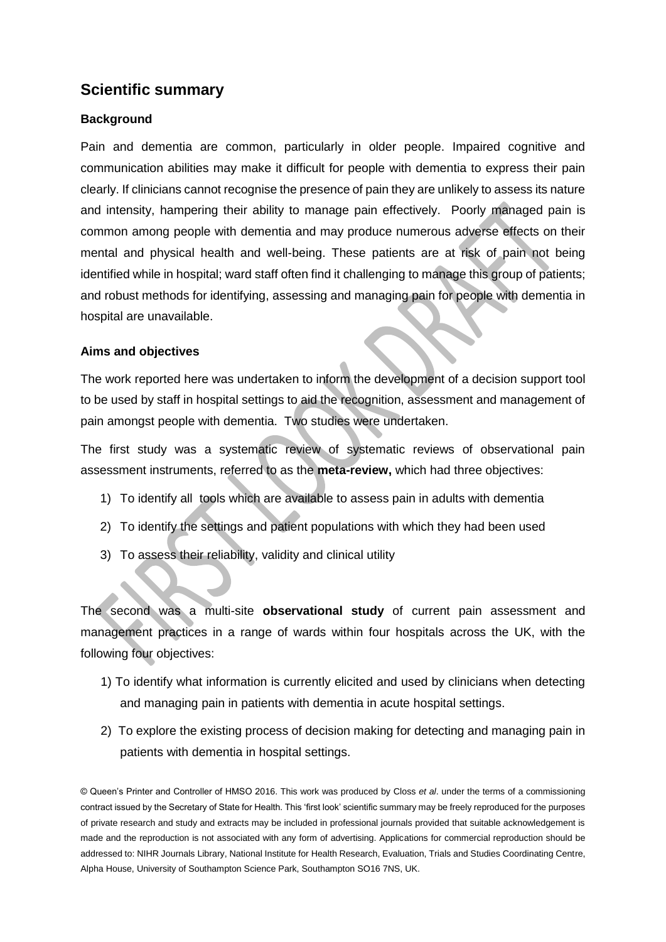## **Scientific summary**

## **Background**

Pain and dementia are common, particularly in older people. Impaired cognitive and communication abilities may make it difficult for people with dementia to express their pain clearly. If clinicians cannot recognise the presence of pain they are unlikely to assess its nature and intensity, hampering their ability to manage pain effectively. Poorly managed pain is common among people with dementia and may produce numerous adverse effects on their mental and physical health and well-being. These patients are at risk of pain not being identified while in hospital; ward staff often find it challenging to manage this group of patients; and robust methods for identifying, assessing and managing pain for people with dementia in hospital are unavailable.

## **Aims and objectives**

The work reported here was undertaken to inform the development of a decision support tool to be used by staff in hospital settings to aid the recognition, assessment and management of pain amongst people with dementia. Two studies were undertaken.

The first study was a systematic review of systematic reviews of observational pain assessment instruments, referred to as the **meta-review,** which had three objectives:

- 1) To identify all tools which are available to assess pain in adults with dementia
- 2) To identify the settings and patient populations with which they had been used
- 3) To assess their reliability, validity and clinical utility

The second was a multi-site **observational study** of current pain assessment and management practices in a range of wards within four hospitals across the UK, with the following four objectives:

- 1) To identify what information is currently elicited and used by clinicians when detecting and managing pain in patients with dementia in acute hospital settings.
- 2) To explore the existing process of decision making for detecting and managing pain in patients with dementia in hospital settings.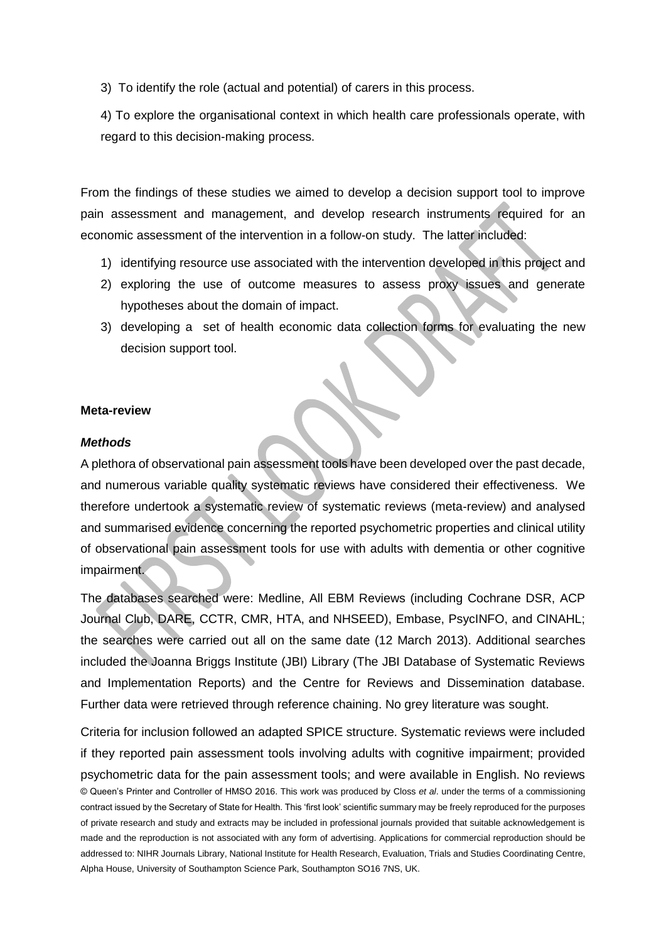3) To identify the role (actual and potential) of carers in this process.

4) To explore the organisational context in which health care professionals operate, with regard to this decision-making process.

From the findings of these studies we aimed to develop a decision support tool to improve pain assessment and management, and develop research instruments required for an economic assessment of the intervention in a follow-on study. The latter included:

- 1) identifying resource use associated with the intervention developed in this project and
- 2) exploring the use of outcome measures to assess proxy issues and generate hypotheses about the domain of impact.
- 3) developing a set of health economic data collection forms for evaluating the new decision support tool.

#### **Meta-review**

#### *Methods*

A plethora of observational pain assessment tools have been developed over the past decade, and numerous variable quality systematic reviews have considered their effectiveness. We therefore undertook a systematic review of systematic reviews (meta-review) and analysed and summarised evidence concerning the reported psychometric properties and clinical utility of observational pain assessment tools for use with adults with dementia or other cognitive impairment.

The databases searched were: Medline, All EBM Reviews (including Cochrane DSR, ACP Journal Club, DARE, CCTR, CMR, HTA, and NHSEED), Embase, PsycINFO, and CINAHL; the searches were carried out all on the same date (12 March 2013). Additional searches included the Joanna Briggs Institute (JBI) Library (The JBI Database of Systematic Reviews and Implementation Reports) and the Centre for Reviews and Dissemination database. Further data were retrieved through reference chaining. No grey literature was sought.

© Queen's Printer and Controller of HMSO 2016. This work was produced by Closs *et al*. under the terms of a commissioning contract issued by the Secretary of State for Health. This 'first look' scientific summary may be freely reproduced for the purposes of private research and study and extracts may be included in professional journals provided that suitable acknowledgement is made and the reproduction is not associated with any form of advertising. Applications for commercial reproduction should be addressed to: NIHR Journals Library, National Institute for Health Research, Evaluation, Trials and Studies Coordinating Centre, Alpha House, University of Southampton Science Park, Southampton SO16 7NS, UK. Criteria for inclusion followed an adapted SPICE structure. Systematic reviews were included if they reported pain assessment tools involving adults with cognitive impairment; provided psychometric data for the pain assessment tools; and were available in English. No reviews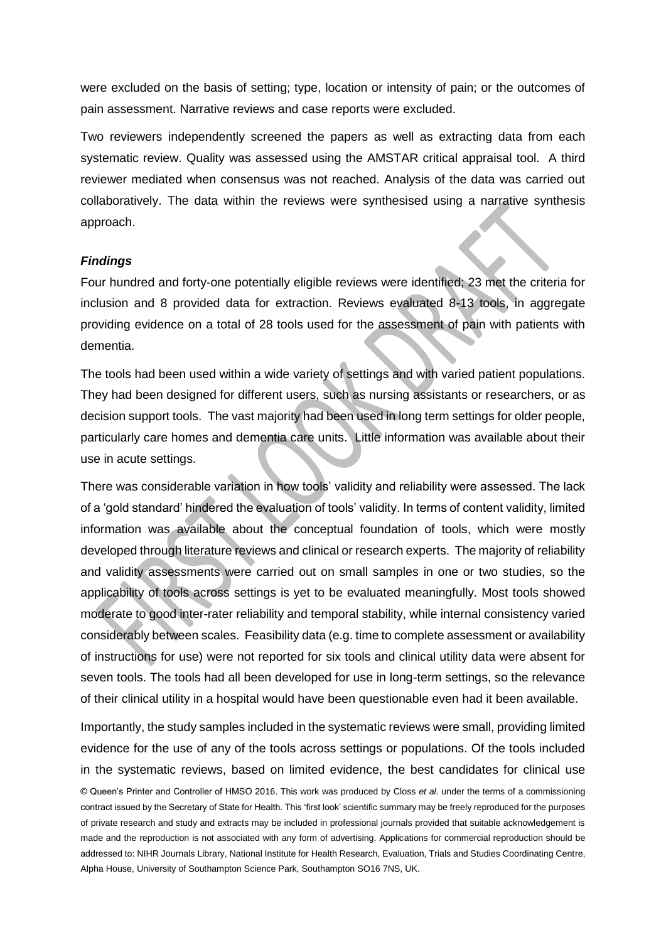were excluded on the basis of setting; type, location or intensity of pain; or the outcomes of pain assessment. Narrative reviews and case reports were excluded.

Two reviewers independently screened the papers as well as extracting data from each systematic review. Quality was assessed using the AMSTAR critical appraisal tool. A third reviewer mediated when consensus was not reached. Analysis of the data was carried out collaboratively. The data within the reviews were synthesised using a narrative synthesis approach.

#### *Findings*

Four hundred and forty-one potentially eligible reviews were identified; 23 met the criteria for inclusion and 8 provided data for extraction. Reviews evaluated 8-13 tools, in aggregate providing evidence on a total of 28 tools used for the assessment of pain with patients with dementia.

The tools had been used within a wide variety of settings and with varied patient populations. They had been designed for different users, such as nursing assistants or researchers, or as decision support tools. The vast majority had been used in long term settings for older people, particularly care homes and dementia care units. Little information was available about their use in acute settings.

There was considerable variation in how tools' validity and reliability were assessed. The lack of a 'gold standard' hindered the evaluation of tools' validity. In terms of content validity, limited information was available about the conceptual foundation of tools, which were mostly developed through literature reviews and clinical or research experts. The majority of reliability and validity assessments were carried out on small samples in one or two studies, so the applicability of tools across settings is yet to be evaluated meaningfully. Most tools showed moderate to good inter-rater reliability and temporal stability, while internal consistency varied considerably between scales. Feasibility data (e.g. time to complete assessment or availability of instructions for use) were not reported for six tools and clinical utility data were absent for seven tools. The tools had all been developed for use in long-term settings, so the relevance of their clinical utility in a hospital would have been questionable even had it been available.

Importantly, the study samples included in the systematic reviews were small, providing limited evidence for the use of any of the tools across settings or populations. Of the tools included in the systematic reviews, based on limited evidence, the best candidates for clinical use

<sup>©</sup> Queen's Printer and Controller of HMSO 2016. This work was produced by Closs *et al*. under the terms of a commissioning contract issued by the Secretary of State for Health. This 'first look' scientific summary may be freely reproduced for the purposes of private research and study and extracts may be included in professional journals provided that suitable acknowledgement is made and the reproduction is not associated with any form of advertising. Applications for commercial reproduction should be addressed to: NIHR Journals Library, National Institute for Health Research, Evaluation, Trials and Studies Coordinating Centre, Alpha House, University of Southampton Science Park, Southampton SO16 7NS, UK.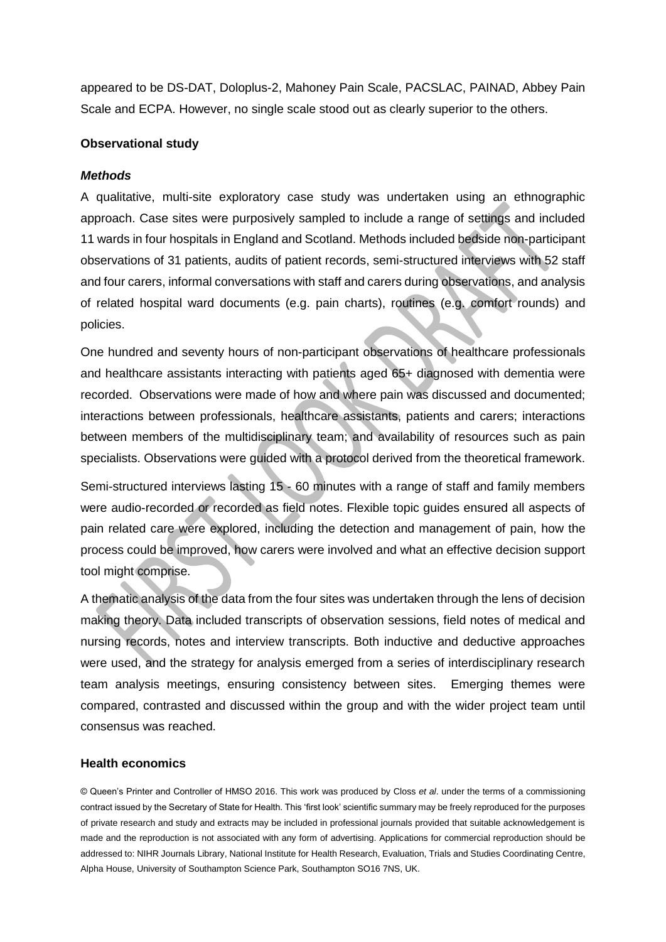appeared to be DS-DAT, Doloplus-2, Mahoney Pain Scale, PACSLAC, PAINAD, Abbey Pain Scale and ECPA. However, no single scale stood out as clearly superior to the others.

## **Observational study**

### *Methods*

A qualitative, multi-site exploratory case study was undertaken using an ethnographic approach. Case sites were purposively sampled to include a range of settings and included 11 wards in four hospitals in England and Scotland. Methods included bedside non-participant observations of 31 patients, audits of patient records, semi-structured interviews with 52 staff and four carers, informal conversations with staff and carers during observations, and analysis of related hospital ward documents (e.g. pain charts), routines (e.g. comfort rounds) and policies.

One hundred and seventy hours of non-participant observations of healthcare professionals and healthcare assistants interacting with patients aged 65+ diagnosed with dementia were recorded. Observations were made of how and where pain was discussed and documented; interactions between professionals, healthcare assistants, patients and carers; interactions between members of the multidisciplinary team; and availability of resources such as pain specialists. Observations were guided with a protocol derived from the theoretical framework.

Semi-structured interviews lasting 15 - 60 minutes with a range of staff and family members were audio-recorded or recorded as field notes. Flexible topic guides ensured all aspects of pain related care were explored, including the detection and management of pain, how the process could be improved, how carers were involved and what an effective decision support tool might comprise.

A thematic analysis of the data from the four sites was undertaken through the lens of decision making theory. Data included transcripts of observation sessions, field notes of medical and nursing records, notes and interview transcripts. Both inductive and deductive approaches were used, and the strategy for analysis emerged from a series of interdisciplinary research team analysis meetings, ensuring consistency between sites. Emerging themes were compared, contrasted and discussed within the group and with the wider project team until consensus was reached.

#### **Health economics**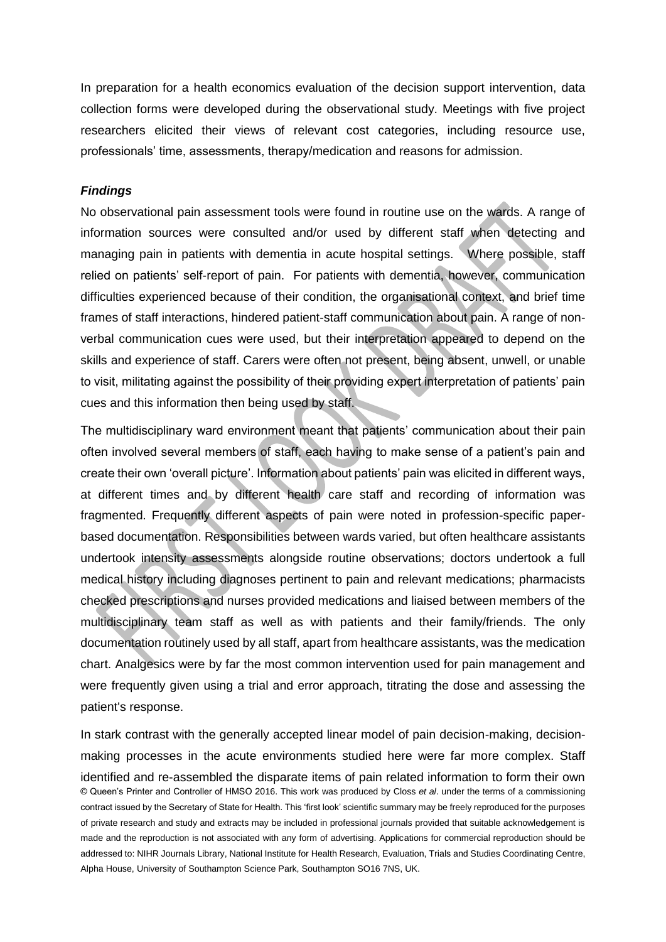In preparation for a health economics evaluation of the decision support intervention, data collection forms were developed during the observational study. Meetings with five project researchers elicited their views of relevant cost categories, including resource use, professionals' time, assessments, therapy/medication and reasons for admission.

#### *Findings*

No observational pain assessment tools were found in routine use on the wards. A range of information sources were consulted and/or used by different staff when detecting and managing pain in patients with dementia in acute hospital settings. Where possible, staff relied on patients' self-report of pain. For patients with dementia, however, communication difficulties experienced because of their condition, the organisational context, and brief time frames of staff interactions, hindered patient-staff communication about pain. A range of nonverbal communication cues were used, but their interpretation appeared to depend on the skills and experience of staff. Carers were often not present, being absent, unwell, or unable to visit, militating against the possibility of their providing expert interpretation of patients' pain cues and this information then being used by staff.

The multidisciplinary ward environment meant that patients' communication about their pain often involved several members of staff, each having to make sense of a patient's pain and create their own 'overall picture'. Information about patients' pain was elicited in different ways, at different times and by different health care staff and recording of information was fragmented. Frequently different aspects of pain were noted in profession-specific paperbased documentation. Responsibilities between wards varied, but often healthcare assistants undertook intensity assessments alongside routine observations; doctors undertook a full medical history including diagnoses pertinent to pain and relevant medications; pharmacists checked prescriptions and nurses provided medications and liaised between members of the multidisciplinary team staff as well as with patients and their family/friends. The only documentation routinely used by all staff, apart from healthcare assistants, was the medication chart. Analgesics were by far the most common intervention used for pain management and were frequently given using a trial and error approach, titrating the dose and assessing the patient's response.

© Queen's Printer and Controller of HMSO 2016. This work was produced by Closs *et al*. under the terms of a commissioning contract issued by the Secretary of State for Health. This 'first look' scientific summary may be freely reproduced for the purposes of private research and study and extracts may be included in professional journals provided that suitable acknowledgement is made and the reproduction is not associated with any form of advertising. Applications for commercial reproduction should be addressed to: NIHR Journals Library, National Institute for Health Research, Evaluation, Trials and Studies Coordinating Centre, Alpha House, University of Southampton Science Park, Southampton SO16 7NS, UK. In stark contrast with the generally accepted linear model of pain decision-making, decisionmaking processes in the acute environments studied here were far more complex. Staff identified and re-assembled the disparate items of pain related information to form their own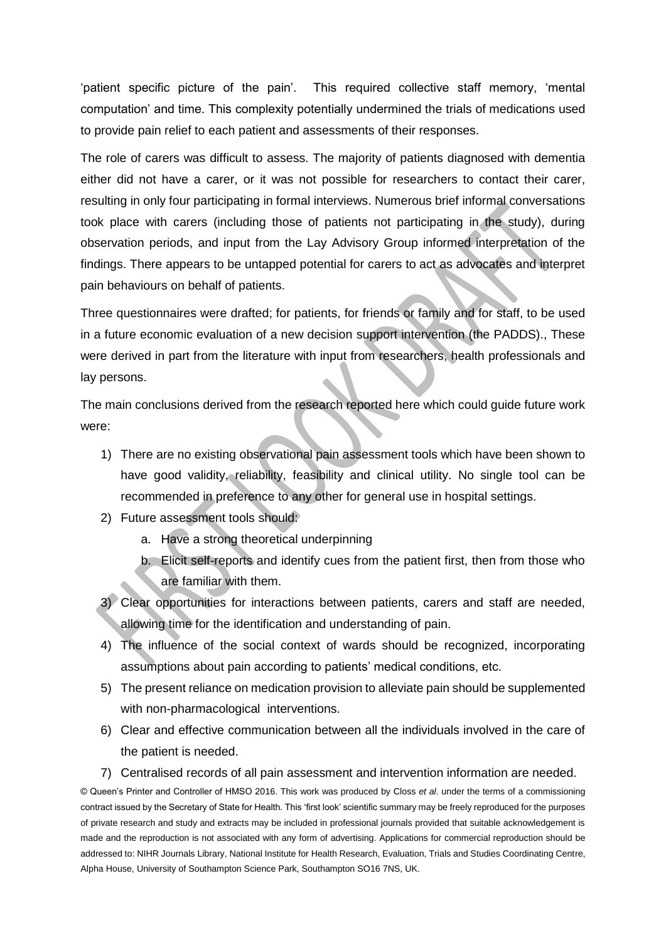'patient specific picture of the pain'. This required collective staff memory, 'mental computation' and time. This complexity potentially undermined the trials of medications used to provide pain relief to each patient and assessments of their responses.

The role of carers was difficult to assess. The majority of patients diagnosed with dementia either did not have a carer, or it was not possible for researchers to contact their carer, resulting in only four participating in formal interviews. Numerous brief informal conversations took place with carers (including those of patients not participating in the study), during observation periods, and input from the Lay Advisory Group informed interpretation of the findings. There appears to be untapped potential for carers to act as advocates and interpret pain behaviours on behalf of patients.

Three questionnaires were drafted; for patients, for friends or family and for staff, to be used in a future economic evaluation of a new decision support intervention (the PADDS)., These were derived in part from the literature with input from researchers, health professionals and lay persons.

The main conclusions derived from the research reported here which could guide future work were:

- 1) There are no existing observational pain assessment tools which have been shown to have good validity, reliability, feasibility and clinical utility. No single tool can be recommended in preference to any other for general use in hospital settings.
- 2) Future assessment tools should:
	- a. Have a strong theoretical underpinning
	- b. Elicit self-reports and identify cues from the patient first, then from those who are familiar with them.
- 3) Clear opportunities for interactions between patients, carers and staff are needed, allowing time for the identification and understanding of pain.
- 4) The influence of the social context of wards should be recognized, incorporating assumptions about pain according to patients' medical conditions, etc.
- 5) The present reliance on medication provision to alleviate pain should be supplemented with non-pharmacological interventions.
- 6) Clear and effective communication between all the individuals involved in the care of the patient is needed.
- 7) Centralised records of all pain assessment and intervention information are needed.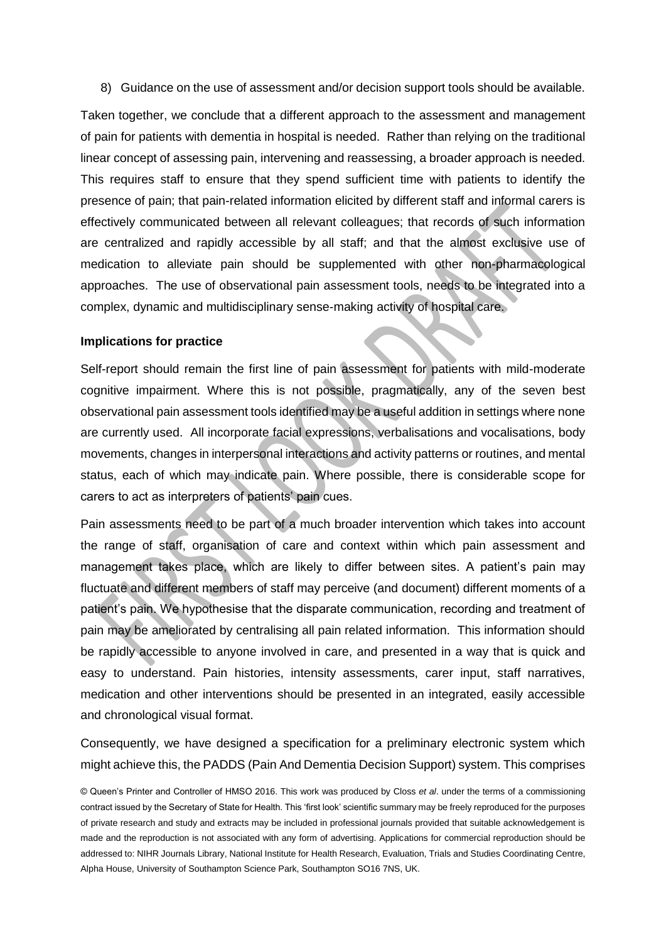8) Guidance on the use of assessment and/or decision support tools should be available.

Taken together, we conclude that a different approach to the assessment and management of pain for patients with dementia in hospital is needed. Rather than relying on the traditional linear concept of assessing pain, intervening and reassessing, a broader approach is needed. This requires staff to ensure that they spend sufficient time with patients to identify the presence of pain; that pain-related information elicited by different staff and informal carers is effectively communicated between all relevant colleagues; that records of such information are centralized and rapidly accessible by all staff; and that the almost exclusive use of medication to alleviate pain should be supplemented with other non-pharmacological approaches. The use of observational pain assessment tools, needs to be integrated into a complex, dynamic and multidisciplinary sense-making activity of hospital care.

#### **Implications for practice**

Self-report should remain the first line of pain assessment for patients with mild-moderate cognitive impairment. Where this is not possible, pragmatically, any of the seven best observational pain assessment tools identified may be a useful addition in settings where none are currently used. All incorporate facial expressions, verbalisations and vocalisations, body movements, changes in interpersonal interactions and activity patterns or routines, and mental status, each of which may indicate pain. Where possible, there is considerable scope for carers to act as interpreters of patients' pain cues.

Pain assessments need to be part of a much broader intervention which takes into account the range of staff, organisation of care and context within which pain assessment and management takes place, which are likely to differ between sites. A patient's pain may fluctuate and different members of staff may perceive (and document) different moments of a patient's pain. We hypothesise that the disparate communication, recording and treatment of pain may be ameliorated by centralising all pain related information. This information should be rapidly accessible to anyone involved in care, and presented in a way that is quick and easy to understand. Pain histories, intensity assessments, carer input, staff narratives, medication and other interventions should be presented in an integrated, easily accessible and chronological visual format.

Consequently, we have designed a specification for a preliminary electronic system which might achieve this, the PADDS (Pain And Dementia Decision Support) system. This comprises

<sup>©</sup> Queen's Printer and Controller of HMSO 2016. This work was produced by Closs *et al*. under the terms of a commissioning contract issued by the Secretary of State for Health. This 'first look' scientific summary may be freely reproduced for the purposes of private research and study and extracts may be included in professional journals provided that suitable acknowledgement is made and the reproduction is not associated with any form of advertising. Applications for commercial reproduction should be addressed to: NIHR Journals Library, National Institute for Health Research, Evaluation, Trials and Studies Coordinating Centre, Alpha House, University of Southampton Science Park, Southampton SO16 7NS, UK.